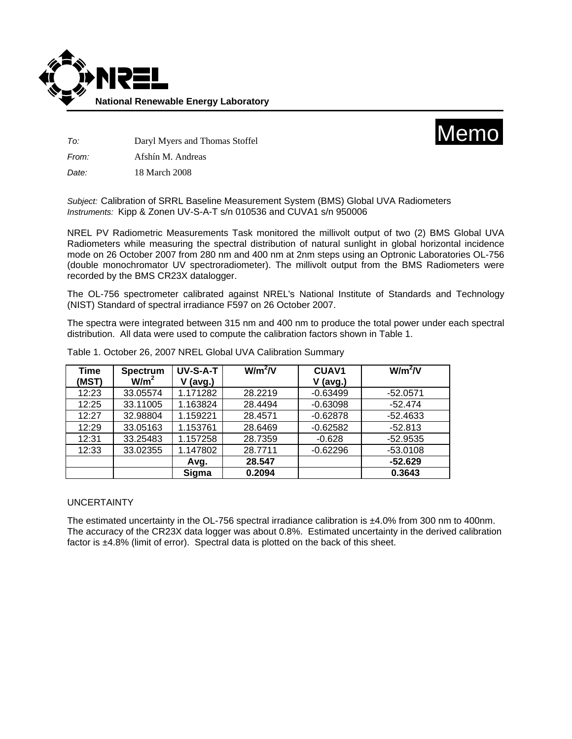



*To:* Daryl Myers and Thomas Stoffel

*From:* Afshín M. Andreas

*Date:* 18 March 2008

*Subject:* Calibration of SRRL Baseline Measurement System (BMS) Global UVA Radiometers *Instruments:* Kipp & Zonen UV-S-A-T s/n 010536 and CUVA1 s/n 950006

NREL PV Radiometric Measurements Task monitored the millivolt output of two (2) BMS Global UVA Radiometers while measuring the spectral distribution of natural sunlight in global horizontal incidence mode on 26 October 2007 from 280 nm and 400 nm at 2nm steps using an Optronic Laboratories OL-756 (double monochromator UV spectroradiometer). The millivolt output from the BMS Radiometers were recorded by the BMS CR23X datalogger.

The OL-756 spectrometer calibrated against NREL's National Institute of Standards and Technology (NIST) Standard of spectral irradiance F597 on 26 October 2007.

The spectra were integrated between 315 nm and 400 nm to produce the total power under each spectral distribution. All data were used to compute the calibration factors shown in Table 1.

| <b>Time</b> | <b>Spectrum</b>  | UV-S-A-T | $W/m^2/V$ | CUAV <sub>1</sub> | $W/m^2/V$  |
|-------------|------------------|----------|-----------|-------------------|------------|
| (MST)       | W/m <sup>2</sup> | (avg.)   |           | $V$ (avg.)        |            |
| 12:23       | 33.05574         | 1.171282 | 28.2219   | $-0.63499$        | $-52.0571$ |
| 12:25       | 33.11005         | 1.163824 | 28.4494   | $-0.63098$        | $-52.474$  |
| 12:27       | 32.98804         | 1.159221 | 28.4571   | $-0.62878$        | $-52.4633$ |
| 12:29       | 33.05163         | 1.153761 | 28.6469   | $-0.62582$        | $-52.813$  |
| 12:31       | 33.25483         | 1.157258 | 28.7359   | $-0.628$          | $-52.9535$ |
| 12:33       | 33.02355         | 1.147802 | 28.7711   | $-0.62296$        | $-53.0108$ |
|             |                  | Avg.     | 28.547    |                   | $-52.629$  |
|             |                  | Sigma    | 0.2094    |                   | 0.3643     |

Table 1. October 26, 2007 NREL Global UVA Calibration Summary

## UNCERTAINTY

The estimated uncertainty in the OL-756 spectral irradiance calibration is ±4.0% from 300 nm to 400nm. The accuracy of the CR23X data logger was about 0.8%. Estimated uncertainty in the derived calibration factor is ±4.8% (limit of error). Spectral data is plotted on the back of this sheet.